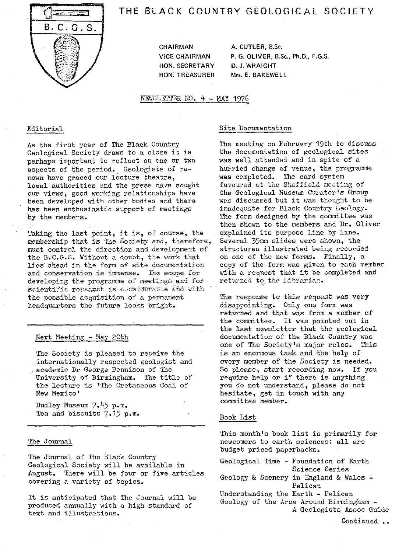

# THE **SLACK** COUNTRY GEOLOGICAL SOCIETY

CHAIRMAN A. CUTLER, B.Sc. HON. SECRETARY D. J. WRAIGHT

ViCE CHAIRMAN P. G. OLIVER, B.Sc., Ph.D., F.G.S. HON. TREASURER Mrs. E. BAKEWELL

NEWSLETTER NO. 4 - MAY 1976

### Editorial

As the first year of The Black Country Geological Society draws to a close it is perhaps important to reflect on one or two aspects of the period. Geologists of renown have graced our lecture theatre, local authorities and the press nave sought our views, good working relationships have been developed with other bodies and there has been enthusiastic support of meetings by the members.

Taking the last point, it is, of course, the membership that is The Society and, therefore, must control the direction and development of the B.C.G.S. Without a doubt, the work that lies ahead in the form of site documentation and conservation is immense. The scope for developing the programme of meetings and for scientific research is considerable and with the possible acquisition of a permanent headquarters the future looks bright.

## Next Meeting - May 20th

The Society is pleased to receive the internationally respected geologist and . academic Dr George Bennison of The University of Birmingham. The title of the lecture is 'The Cretaceous Coal of New Mexico'

Dudley Museum 7.45 p.m. Tea and biscuits 7.15 p.m.

#### The Journal

The Journal of The Black Country Geological Society will be available in August. There will be four or five articles covering a variety of topics.

It is anticipated that The Journal will be produced annually with a high standard of text and illustrations.

## Site Documentation

The meeting on February 19th to discuss the documentation of geological sites was well attended and in spite of a hurried change of venue, the programme was completed. The card system favoured at the Sheffield meeting of the Geological Museum Curator's Group was discussed but it was thought to be inadequate for Black Country Geology. The form designed by the committee was then shown to the members and Dr. Oliver explained its purpose line by line. Several 35mm slides were shown, the structures illustrated being recorded on one of the new forms. Finally, a copy of the form was given to each member with a request that it be completed and returned to the Librarian.

The response to this request was very disappointing. Only one form was returned and that was from a member of the committee. It was pointed out in the last newsletter that the geological documentation of the Black Country was one of The Society's major roles. This is an enormous task and the help of every member of the Society is needed. So please, start recording now. If you require help or if there is anything you do not understand, please do not hesitate, get in touch with any committee member.

## Book List

This month's book list is primarily for newcomers to earth sciences: all are budget priced paperbacks.

| Geological Time - Foundation of Earth       |
|---------------------------------------------|
| Science Series                              |
| Geology & Scenery in England & Wales $\sim$ |
| Pelican                                     |
| Understanding the Earth - Pelican           |
| Geology of the Area Around Birmingham -     |
| A Geologists Assoc Guide                    |
|                                             |

Continued ..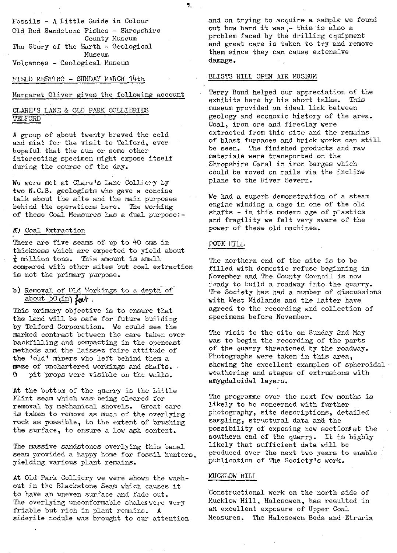Fossils - A Little Guide in Colour Old Red Sandstone Fishes - Shropshire County Museum The Story of the Earth - Geological Museum Volcanoes - Geological Museum

FIELD MEETING - SUNDAY MARCH 14th

## Margaret Oliver gives the following account

# CLARE'S LANE & OLD PARK COLLIERIES TELFORD

A group of about twenty braved the cold and mist for the visit to Telford, ever hopeful that the sun or some other interesting specimen might expose itself during the course of the day.

We were met at Clare's Lane Colliery by two N.C.B. geologists who gave a concise talk about the site and the main purposes behind the operations here. The working of these Coal Measures has a dual purpose:-

## a) Coal Extraction

There are five seams of up to 40 cms in thickness which are expected to yield about  $\frac{1}{4}$  million tons. This amount is small compared with other sites but coal extraction is not the primary purpose.

## b) Removel of Old Workings to a depth of about 50 din)  $\frac{10}{10}$

This primary objective is to ensure that the land will be safe for future building by Telford Corporation. We could see the marked contrast between the care taken over backfilling and compacting in the opencast methods and the laissez faire attitude of the 'old' miners who left behind them a maze of unchartered workings and shafts. pit props were visible on the walls.

At the bottom of the quarry is the Little Flint seam which was being cleared for removal by mechanical shovels. Great care is taken to remove as much of the overlying rock as possible, to the extent of brushing the surface, to ensure a low ash content.

The massive sandstones overlying this basal seam provided a happy home for fossil hunters, yielding various plant remains.

At Old Park Colliery we were shown the washout in the Blackstone Seam which causes it to have an uneven surface and fade out. The overlying unconformable shales were very friable but rich in plant remains. A siderite nodule was brought to our attention and on trying to acquire a sample we found out how hard it was  $-$  this is also a problem faced by the drilling equipment and great care is taken to try and remove them since they can cause extensive damage.

## BLISTS HILL OPEN AIR MUSEUM

Terry Bond helped our appreciation of the exhibits here by his short talks. This museum provided an ideal link between geology and economic history of the area. Coal, iron ore and fireclay were extracted from this site and the remains of blast furnaces and brick works can still be seen. The finished products and raw materials were transported on the Shropshire Canal in iron barges which could be moved on rails via the incline plane to the River Severn.

We had a superb demonstration of a steam engine winding a cage in one of the old shafts - in this modern age of plastics and fragility we felt very aware of the power of these old machines.

# POUK HILL

 $\mathcal{I}$ 

The northern end of the site is to be filled with domestic refuse beginning in November and The County Council is now ready to build a roadway into the quarry. The Society has had a number of discussions with West Midlands and the latter have agreed to the recording and collection of specimens before November.

The visit to the site on Sunday 2nd May was to begin the recording of the parts of the quarry threatened by the roadway. Photographs were taken in this area, showing the excellent examples of spheroidal<sup>®</sup> weathering and stages of extrusions with amygdaloidal layers.

The programme over the next few months is likely to be concerned with further photography, site descriptions, detailed sampling, structural data and the possibility of exposing new sections at the southern end of the quarry. It is highly likely that sufficient data will be produced over the next two years to enable publication of The Society's work.

#### MUCKLOW HILL

Constructional work on the north side of Mucklow Hill, Halesowen, has resulted in an excellent exposure of Upper Coal Measures. The Halesowen Beds and Etruria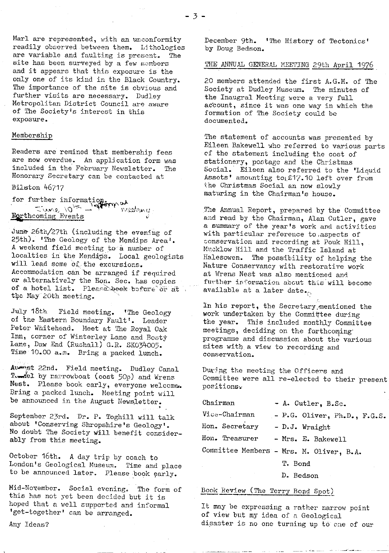Marl are represented, with an unconformity readily observed between them. Lithologies are variable and faulting is present. The site has been surveyed by a few members and it appears that this exposure is the only one of its kind in the Black Country. The importance of the site is obvious and further visits are necessary. Dudley Metropolitan District Council are aware of The Society's interest in this exposure.

## Membership

Readers are remined that membership fees are now overdue. An application form was included in the February Newsletter. The Honorary Secretary can be contacted at

Bilston 46717

for further information.  $\frac{1}{\sqrt{N}}$ Events

June 26th/27th (including the evening of 25th). 'The Geology of the Mendips Area'. A weekend field meeting to a number of localties in the Mendips. Local geologists will lead some of the excursions. Accommodation can be arranged if required or alternatively the Hon. Sec. has copies of a hotel list. Please beek before or at the May 20th meeting.

July 18<sup>t</sup> Field meeting. 'The Geology of the Eastern Boundary Fault'. Leader Peter Whitehead. Meet at The Royal Oak Inn, corner of Winterley Lane and Bosty Lane, Daw End (Rushall) G.R. SKO34005. Time 10.00 a.m. Bring a packed lunch.

Au<sup>2</sup>st 22nd. Field meeting. Dudley Canal Twiel by rarrowboat (cost 50p) and Wrens Nest. Please book early, everyone welcome. Bring a packed lunch. Meeting point will be announced in the August Newsletter.

September 23rd. Dr. P. Toghill will talk about 'Conserving Shropshire's Geology'. No doubt The Society Will benefit considerably from this meeting.

October 16th. A day trip by coach to London's Geological Museum. Time and place to be announced later. Please book early.

Mid-November. Social evening. The form of this has not yet been decided but it is hoped that a well supported and informal 'get--together' can be arranged.

Any Ideas?

December 9th. 'The History of Tectonics' by Doug Bedson.

## THE ANNUAL GENERAL MEETING 29th April 1976

20 members attended the first A.G.M. of The Society at Dudley Museum. The minutes of the Inaugral Meeting were a very full account, since it was one way in which the formation of The Society could be documented.

The statement of accounts was presented by Eileen Bakewell who referred to various parts cf the statement including the cost of stationery, postage and the Christmas Social. Eileen also referred to the 'Liquid Assets' amounting to £17.10 left over from the Christmas Social an now slowly maturing in the Chairman's house.

The Annual Report, prepared by the Committee and read by the Chairman, Alan Cutler, gave a summary of the year's work and activities with particular reference to, aspects of conservation and recording at Pouk Hill, Mucklow Hill and the Traffic Island at Halesowen. The possibility of helping the Nature Conservancy with restorative work at Wrens Nest was also mentioned and further information about this will become available at a later date...

In his report, the Secretary mentioned the work undertaken by the Committee during the year. This included monthly Committee meetings, deciding on the forthcoming' programme and discussion about the various sites with a view to recording and conservation.

During the meeting the Officers and Committee were all re-elected to their present positions

| Chairman       | - A. Cutler, B.Sc.                       |
|----------------|------------------------------------------|
| Vice-Chairman  | - P.G. Oliver, Ph.D., F.G.S.             |
| Hon. Secretary | $-D. J.$ Wraight                         |
| Hon. Treasurer | - Mrs. E. Bakewell                       |
|                | Committee Members - Mrs. M. Oliver, B.A. |
|                | T. Bond                                  |

D. Bedson

# Book Review (The Terry Bond Spot)

It may be expressing a rather narrow point of view but my idea of a Geological disaster is no one turning up to one of our